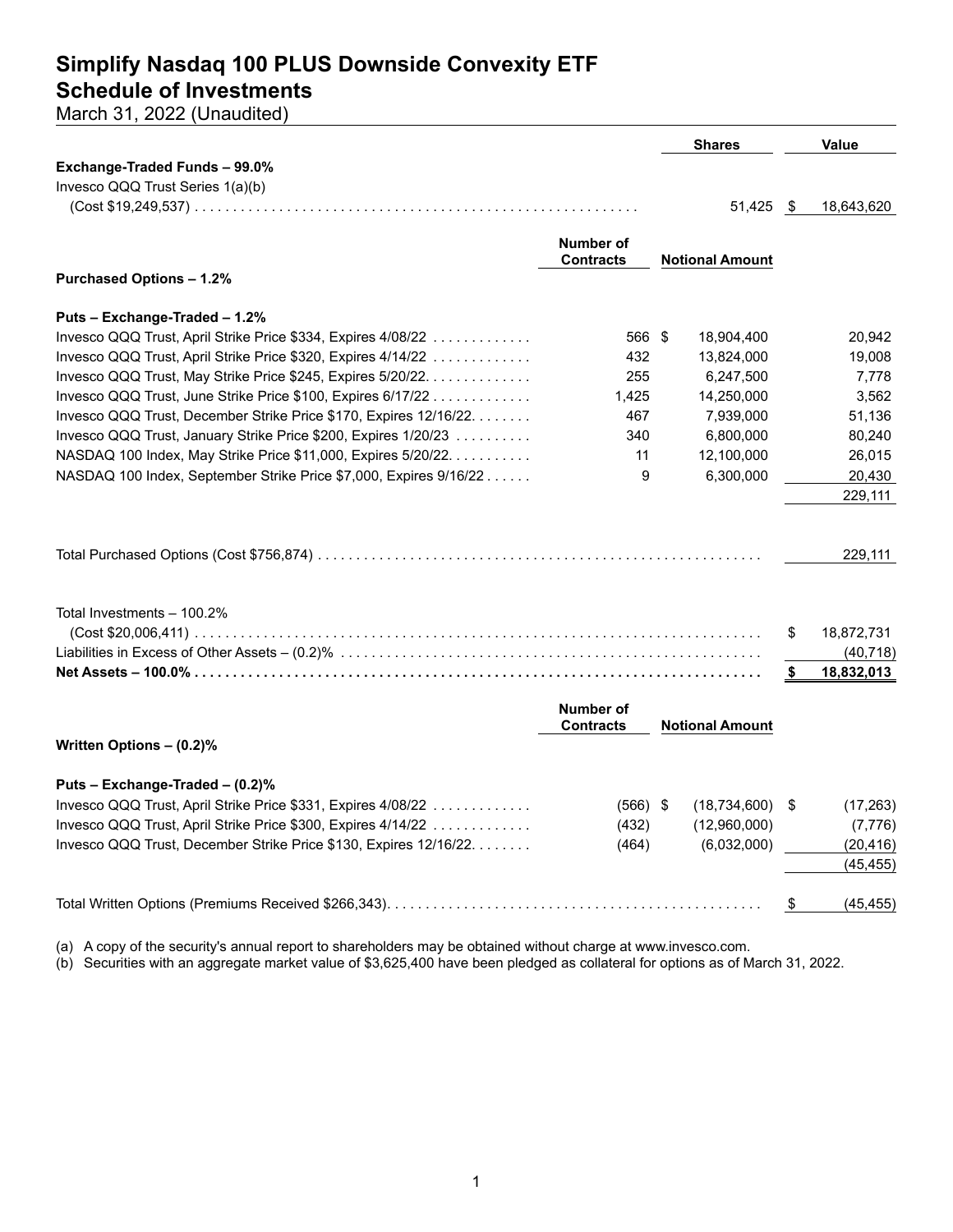## **Simplify Nasdaq 100 PLUS Downside Convexity ETF Schedule of Investments**

March 31, 2022 (Unaudited)

|                                                                   |                               | <b>Shares</b>          |      | <b>Value</b>            |
|-------------------------------------------------------------------|-------------------------------|------------------------|------|-------------------------|
| Exchange-Traded Funds - 99.0%                                     |                               |                        |      |                         |
| Invesco QQQ Trust Series 1(a)(b)                                  |                               |                        |      |                         |
|                                                                   |                               | 51,425                 | - \$ | 18,643,620              |
|                                                                   |                               |                        |      |                         |
|                                                                   | <b>Number of</b>              |                        |      |                         |
|                                                                   | <b>Contracts</b>              | <b>Notional Amount</b> |      |                         |
| <b>Purchased Options - 1.2%</b>                                   |                               |                        |      |                         |
| Puts - Exchange-Traded - 1.2%                                     |                               |                        |      |                         |
| Invesco QQQ Trust, April Strike Price \$334, Expires 4/08/22      | 566 \$                        | 18,904,400             |      | 20,942                  |
| Invesco QQQ Trust, April Strike Price \$320, Expires 4/14/22      | 432                           | 13,824,000             |      | 19,008                  |
| Invesco QQQ Trust, May Strike Price \$245, Expires 5/20/22.       | 255                           | 6,247,500              |      | 7,778                   |
| Invesco QQQ Trust, June Strike Price \$100, Expires 6/17/22       | 1,425                         | 14,250,000             |      | 3,562                   |
| Invesco QQQ Trust, December Strike Price \$170, Expires 12/16/22. | 467                           | 7,939,000              |      | 51,136                  |
| Invesco QQQ Trust, January Strike Price \$200, Expires 1/20/23    | 340                           | 6,800,000              |      | 80,240                  |
| NASDAQ 100 Index, May Strike Price \$11,000, Expires 5/20/22.     | 11                            | 12,100,000             |      | 26,015                  |
| NASDAQ 100 Index, September Strike Price \$7,000, Expires 9/16/22 | 9                             | 6,300,000              |      | 20,430                  |
|                                                                   |                               |                        |      | 229,111                 |
|                                                                   |                               |                        |      | 229,111                 |
| Total Investments - 100.2%                                        |                               |                        | S    | 18,872,731<br>(40, 718) |
|                                                                   |                               |                        | \$   | 18,832,013              |
|                                                                   |                               |                        |      |                         |
|                                                                   | Number of<br><b>Contracts</b> | <b>Notional Amount</b> |      |                         |
| Written Options - (0.2)%                                          |                               |                        |      |                         |
| Puts - Exchange-Traded - (0.2)%                                   |                               |                        |      |                         |
| Invesco QQQ Trust, April Strike Price \$331, Expires 4/08/22      | $(566)$ \$                    | $(18,734,600)$ \$      |      | (17, 263)               |
| Invesco QQQ Trust, April Strike Price \$300, Expires 4/14/22      | (432)                         | (12,960,000)           |      | (7, 776)                |
| Invesco QQQ Trust, December Strike Price \$130, Expires 12/16/22. | (464)                         | (6,032,000)            |      | (20, 416)               |
|                                                                   |                               |                        |      | (45, 455)               |
|                                                                   |                               |                        | \$   | (45, 455)               |
|                                                                   |                               |                        |      |                         |

(a) A copy of the security's annual report to shareholders may be obtained without charge at www.invesco.com.

(b) Securities with an aggregate market value of \$3,625,400 have been pledged as collateral for options as of March 31, 2022.